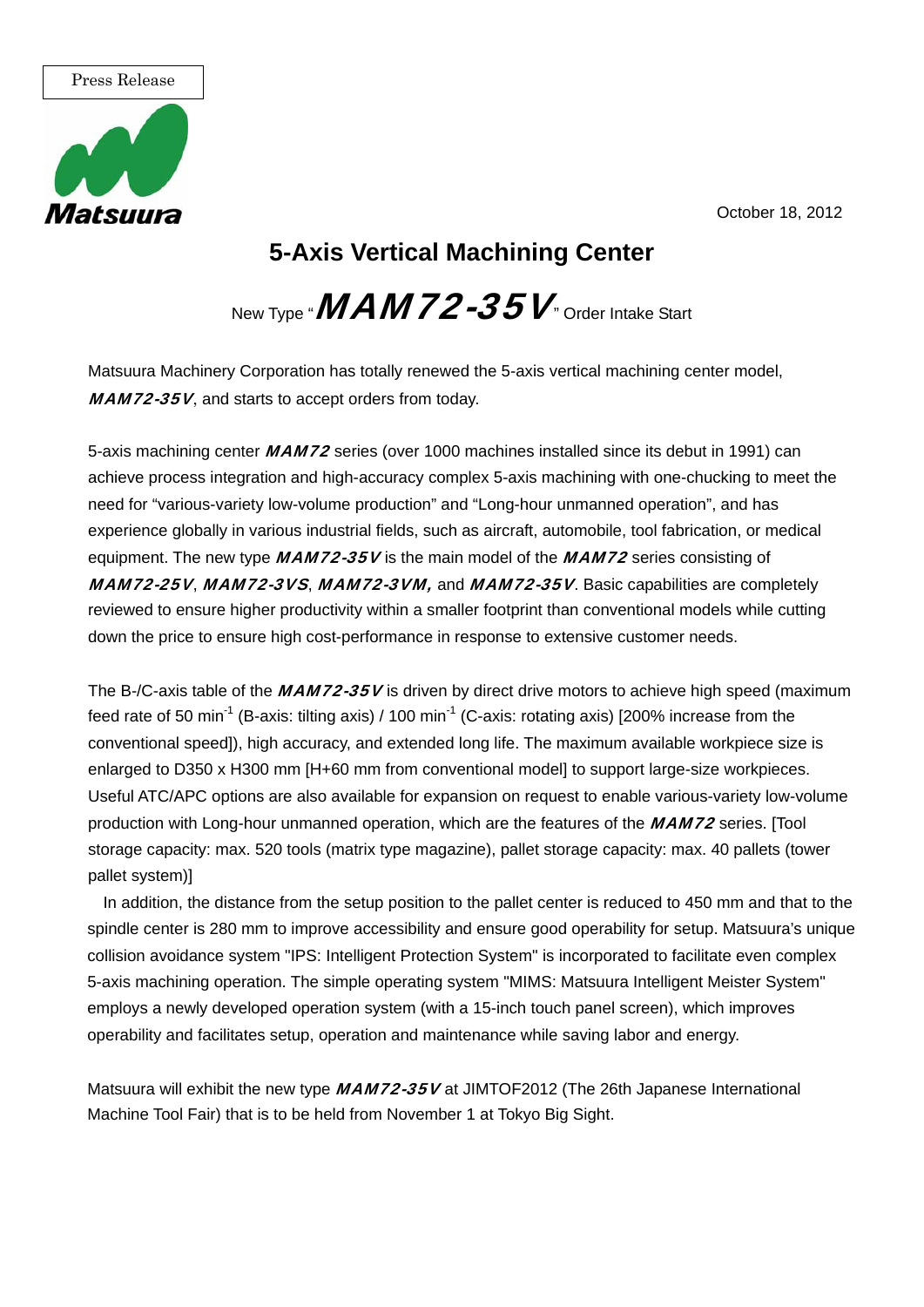October 18, 2012



## **5-Axis Vertical Machining Center**

New Type " $\mathit{MAM72-35V}$  Order Intake Start

Matsuura Machinery Corporation has totally renewed the 5-axis vertical machining center model, MAM72-35V, and starts to accept orders from today.

5-axis machining center **MAM72** series (over 1000 machines installed since its debut in 1991) can achieve process integration and high-accuracy complex 5-axis machining with one-chucking to meet the need for "various-variety low-volume production" and "Long-hour unmanned operation", and has experience globally in various industrial fields, such as aircraft, automobile, tool fabrication, or medical equipment. The new type  $MAM72-35V$  is the main model of the  $MAM72$  series consisting of MAM72-25V, MAM72-3VS, MAM72-3VM, and MAM72-35V. Basic capabilities are completely reviewed to ensure higher productivity within a smaller footprint than conventional models while cutting down the price to ensure high cost-performance in response to extensive customer needs.

The B-/C-axis table of the  $MAM72-35V$  is driven by direct drive motors to achieve high speed (maximum feed rate of 50 min<sup>-1</sup> (B-axis: tilting axis) / 100 min<sup>-1</sup> (C-axis: rotating axis) [200% increase from the conventional speed]), high accuracy, and extended long life. The maximum available workpiece size is enlarged to D350 x H300 mm [H+60 mm from conventional model] to support large-size workpieces. Useful ATC/APC options are also available for expansion on request to enable various-variety low-volume production with Long-hour unmanned operation, which are the features of the MAM72 series. [Tool storage capacity: max. 520 tools (matrix type magazine), pallet storage capacity: max. 40 pallets (tower pallet system)]

In addition, the distance from the setup position to the pallet center is reduced to 450 mm and that to the spindle center is 280 mm to improve accessibility and ensure good operability for setup. Matsuura's unique collision avoidance system "IPS: Intelligent Protection System" is incorporated to facilitate even complex 5-axis machining operation. The simple operating system "MIMS: Matsuura Intelligent Meister System" employs a newly developed operation system (with a 15-inch touch panel screen), which improves operability and facilitates setup, operation and maintenance while saving labor and energy.

Matsuura will exhibit the new type MAM72-35V at JIMTOF2012 (The 26th Japanese International Machine Tool Fair) that is to be held from November 1 at Tokyo Big Sight.